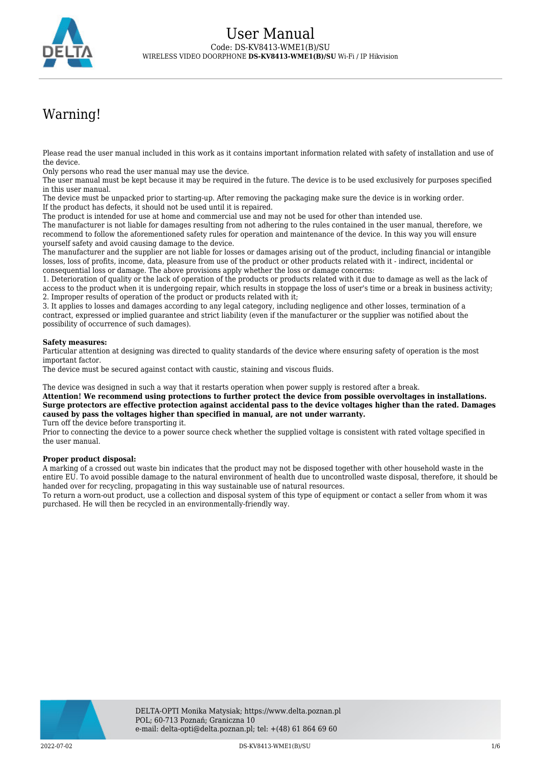

# Warning!

Please read the user manual included in this work as it contains important information related with safety of installation and use of the device.

Only persons who read the user manual may use the device.

The user manual must be kept because it may be required in the future. The device is to be used exclusively for purposes specified in this user manual.

The device must be unpacked prior to starting-up. After removing the packaging make sure the device is in working order. If the product has defects, it should not be used until it is repaired.

The product is intended for use at home and commercial use and may not be used for other than intended use.

The manufacturer is not liable for damages resulting from not adhering to the rules contained in the user manual, therefore, we recommend to follow the aforementioned safety rules for operation and maintenance of the device. In this way you will ensure yourself safety and avoid causing damage to the device.

The manufacturer and the supplier are not liable for losses or damages arising out of the product, including financial or intangible losses, loss of profits, income, data, pleasure from use of the product or other products related with it - indirect, incidental or consequential loss or damage. The above provisions apply whether the loss or damage concerns:

1. Deterioration of quality or the lack of operation of the products or products related with it due to damage as well as the lack of access to the product when it is undergoing repair, which results in stoppage the loss of user's time or a break in business activity; 2. Improper results of operation of the product or products related with it;

3. It applies to losses and damages according to any legal category, including negligence and other losses, termination of a contract, expressed or implied guarantee and strict liability (even if the manufacturer or the supplier was notified about the possibility of occurrence of such damages).

### **Safety measures:**

Particular attention at designing was directed to quality standards of the device where ensuring safety of operation is the most important factor.

The device must be secured against contact with caustic, staining and viscous fluids.

The device was designed in such a way that it restarts operation when power supply is restored after a break.

**Attention! We recommend using protections to further protect the device from possible overvoltages in installations. Surge protectors are effective protection against accidental pass to the device voltages higher than the rated. Damages caused by pass the voltages higher than specified in manual, are not under warranty.**

Turn off the device before transporting it.

Prior to connecting the device to a power source check whether the supplied voltage is consistent with rated voltage specified in the user manual.

#### **Proper product disposal:**

A marking of a crossed out waste bin indicates that the product may not be disposed together with other household waste in the entire EU. To avoid possible damage to the natural environment of health due to uncontrolled waste disposal, therefore, it should be handed over for recycling, propagating in this way sustainable use of natural resources.

To return a worn-out product, use a collection and disposal system of this type of equipment or contact a seller from whom it was purchased. He will then be recycled in an environmentally-friendly way.

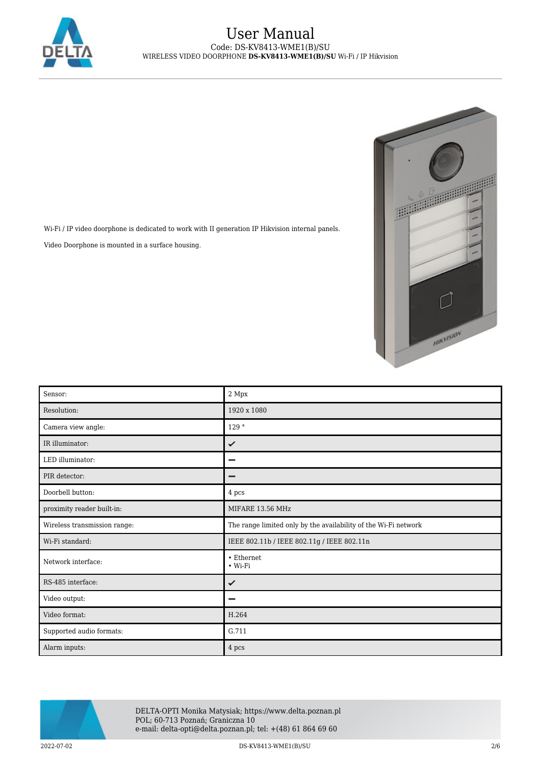

Wi-Fi / IP video doorphone is dedicated to work with II generation IP Hikvision internal panels.

Video Doorphone is mounted in a surface housing.



| Sensor:                      | 2 Mpx                                                           |
|------------------------------|-----------------------------------------------------------------|
| Resolution:                  | 1920 x 1080                                                     |
| Camera view angle:           | 129°                                                            |
| IR illuminator:              | ✓                                                               |
| LED illuminator:             | -                                                               |
| PIR detector:                | -                                                               |
| Doorbell button:             | 4 pcs                                                           |
| proximity reader built-in:   | MIFARE 13.56 MHz                                                |
| Wireless transmission range: | The range limited only by the availability of the Wi-Fi network |
| Wi-Fi standard:              | IEEE 802.11b / IEEE 802.11g / IEEE 802.11n                      |
| Network interface:           | • Ethernet<br>$\bullet$ Wi-Fi                                   |
| RS-485 interface:            | ✓                                                               |
| Video output:                |                                                                 |
| Video format:                | H.264                                                           |
| Supported audio formats:     | G.711                                                           |
| Alarm inputs:                | 4 pcs                                                           |



DELTA-OPTI Monika Matysiak; https://www.delta.poznan.pl POL; 60-713 Poznań; Graniczna 10 e-mail: delta-opti@delta.poznan.pl; tel: +(48) 61 864 69 60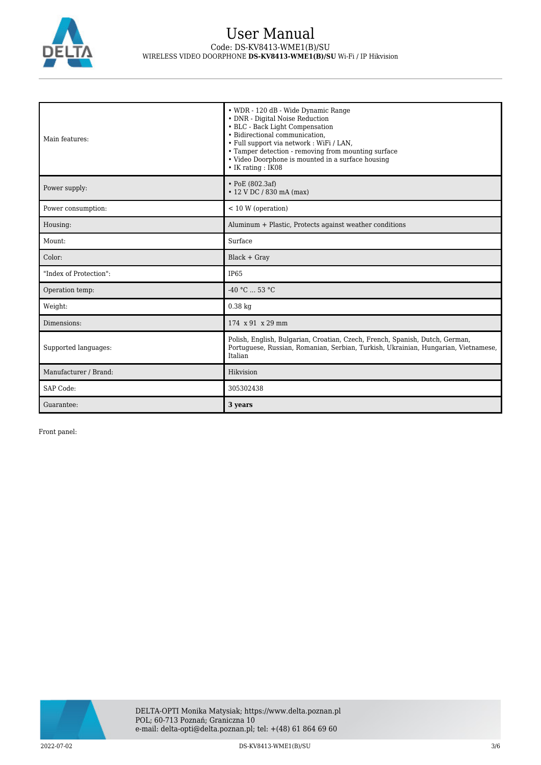

| Main features:         | • WDR - 120 dB - Wide Dynamic Range<br>• DNR - Digital Noise Reduction<br>• BLC - Back Light Compensation<br>• Bidirectional communication.<br>· Full support via network : WiFi / LAN,<br>• Tamper detection - removing from mounting surface<br>• Video Doorphone is mounted in a surface housing<br>$\bullet$ IK rating : IK08 |
|------------------------|-----------------------------------------------------------------------------------------------------------------------------------------------------------------------------------------------------------------------------------------------------------------------------------------------------------------------------------|
| Power supply:          | $\cdot$ PoE (802.3af)<br>• 12 V DC / 830 mA (max)                                                                                                                                                                                                                                                                                 |
| Power consumption:     | $< 10 W$ (operation)                                                                                                                                                                                                                                                                                                              |
| Housing:               | Aluminum + Plastic, Protects against weather conditions                                                                                                                                                                                                                                                                           |
| Mount:                 | Surface                                                                                                                                                                                                                                                                                                                           |
| Color:                 | $Black + Gray$                                                                                                                                                                                                                                                                                                                    |
| "Index of Protection": | <b>IP65</b>                                                                                                                                                                                                                                                                                                                       |
| Operation temp:        | $-40 °C$ 53 °C                                                                                                                                                                                                                                                                                                                    |
| Weight:                | $0.38$ kg                                                                                                                                                                                                                                                                                                                         |
| Dimensions:            | $174 \times 91 \times 29$ mm                                                                                                                                                                                                                                                                                                      |
| Supported languages:   | Polish, English, Bulgarian, Croatian, Czech, French, Spanish, Dutch, German,<br>Portuguese, Russian, Romanian, Serbian, Turkish, Ukrainian, Hungarian, Vietnamese,<br>Italian                                                                                                                                                     |
| Manufacturer / Brand:  | Hikvision                                                                                                                                                                                                                                                                                                                         |
| SAP Code:              | 305302438                                                                                                                                                                                                                                                                                                                         |
| Guarantee:             | 3 years                                                                                                                                                                                                                                                                                                                           |

Front panel:

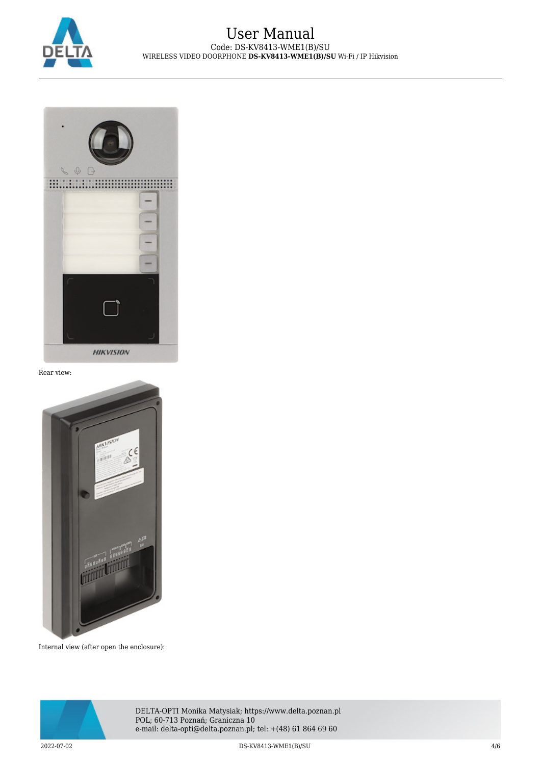



Rear view:



Internal view (after open the enclosure):



DELTA-OPTI Monika Matysiak; https://www.delta.poznan.pl POL; 60-713 Poznań; Graniczna 10 e-mail: delta-opti@delta.poznan.pl; tel: +(48) 61 864 69 60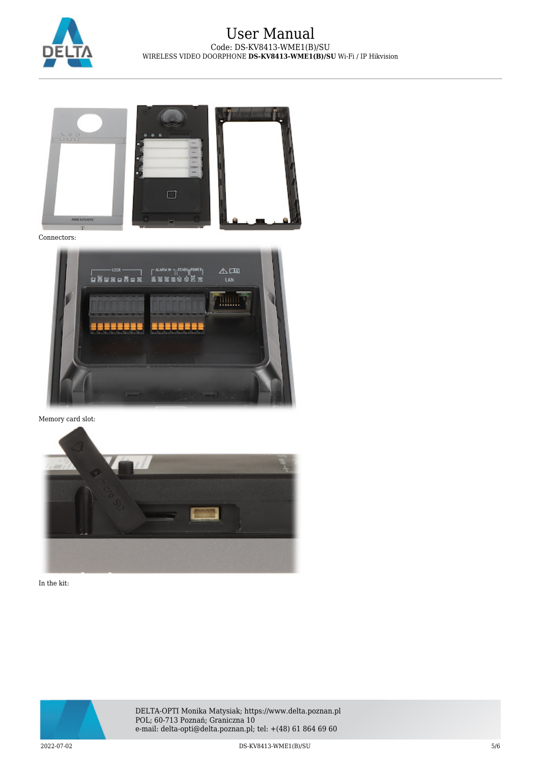



Connectors:



Memory card slot:



In the kit:



DELTA-OPTI Monika Matysiak; https://www.delta.poznan.pl POL; 60-713 Poznań; Graniczna 10 e-mail: delta-opti@delta.poznan.pl; tel: +(48) 61 864 69 60

2022-07-02 DS-KV8413-WME1(B)/SU 5/6